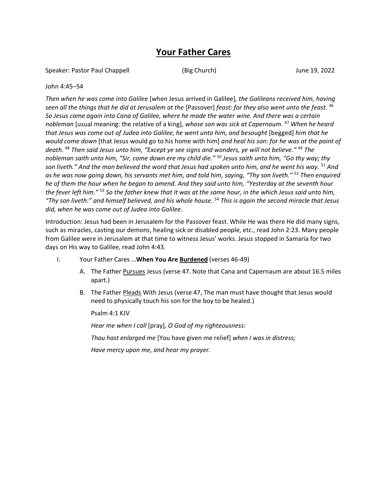# **Your Father Cares**

Speaker: Pastor Paul Chappell (Big Church) June 19, 2022

#### John 4:45–54

*Then when he was come into Galilee* [when Jesus arrived in Galilee]*, the Galileans received him, having seen all the things that he did at Jerusalem at the* [Passover] *feast: for they also went unto the feast.* <sup>46</sup> *So Jesus came again into Cana of Galilee, where he made the water wine. And there was a certain nobleman* [usual meaning: the relative of a king]*, whose son was sick at Capernaum.* <sup>47</sup> *When he heard that Jesus was come out of Judea into Galilee, he went unto him, and besought* [begged] *him that he would come down* [that Jesus would go to his home with him] *and heal his son: for he was at the point of death.*  <sup>48</sup> *Then said Jesus unto him, "Except ye see signs and wonders, ye will not believe."* <sup>49</sup> *The nobleman saith unto him, "Sir, come down ere my child die."* <sup>50</sup> *Jesus saith unto him, "Go thy way; thy son liveth." And the man believed the word that Jesus had spoken unto him, and he went his way.* <sup>51</sup> *And as he was now going down, his servants met him, and told him, saying, "Thy son liveth."* <sup>52</sup> *Then enquired he of them the hour when he began to amend. And they said unto him, "Yesterday at the seventh hour the fever left him."* <sup>53</sup> *So the father knew that it was at the same hour, in the which Jesus said unto him, "Thy son liveth:" and himself believed, and his whole house.* <sup>54</sup> *This is again the second miracle that Jesus did, when he was come out of Judea into Galilee.*

Introduction: Jesus had been in Jerusalem for the Passover feast. While He was there He did many signs, such as miracles, casting our demons, healing sick or disabled people, etc., read John 2:23. Many people from Galilee were in Jerusalem at that time to witness Jesus' works. Jesus stopped in Samaria for two days on His way to Galilee, read John 4:43.

- I. Your Father Cares …**When You Are Burdened** (verses 46-49)
	- A. The Father Pursues Jesus (verse 47. Note that Cana and Capernaum are about 16.5 miles apart.)
	- B. The Father Pleads With Jesus (verse 47, The man must have thought that Jesus would need to physically touch his son for the boy to be healed.)

Psalm 4:1 KJV

*Hear me when I call* [pray]*, O God of my righteousness:* 

*Thou hast enlarged me* [You have given me relief] *when I was in distress;* 

*Have mercy upon me, and hear my prayer.*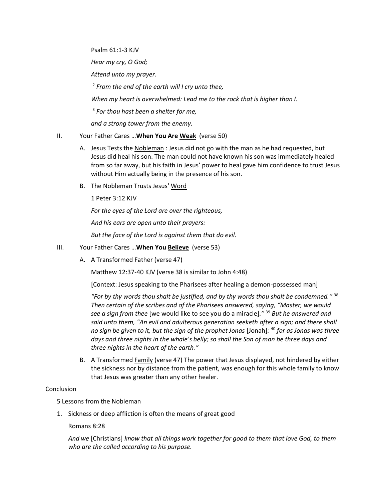Psalm 61:1-3 KJV

*Hear my cry, O God;*

*Attend unto my prayer.*

2 *From the end of the earth will I cry unto thee,*

*When my heart is overwhelmed: Lead me to the rock that is higher than I.*

3 *For thou hast been a shelter for me,* 

*and a strong tower from the enemy.*

### II. Your Father Cares …**When You Are Weak** (verse 50)

- A. Jesus Tests the Nobleman : Jesus did not go with the man as he had requested, but Jesus did heal his son. The man could not have known his son was immediately healed from so far away, but his faith in Jesus' power to heal gave him confidence to trust Jesus without Him actually being in the presence of his son.
- B. The Nobleman Trusts Jesus' Word

1 Peter 3:12 KJV

*For the eyes of the Lord are over the righteous, And his ears are open unto their prayers: But the face of the Lord is against them that do evil.*

## III. Your Father Cares …**When You Believe** (verse 53)

A. A Transformed **Father** (verse 47)

Matthew 12:37-40 KJV (verse 38 is similar to John 4:48)

[Context: Jesus speaking to the Pharisees after healing a demon-possessed man]

*"For by thy words thou shalt be justified, and by thy words thou shalt be condemned."* 38 *Then certain of the scribes and of the Pharisees answered, saying, "Master, we would see a sign from thee* [we would like to see you do a miracle]*."* <sup>39</sup> *But he answered and said unto them, "An evil and adulterous generation seeketh after a sign; and there shall no sign be given to it, but the sign of the prophet Jonas* [Jonah]*:* <sup>40</sup> *for as Jonas was three days and three nights in the whale's belly; so shall the Son of man be three days and three nights in the heart of the earth."*

B. A Transformed Family (verse 47) The power that Jesus displayed, not hindered by either the sickness nor by distance from the patient, was enough for this whole family to know that Jesus was greater than any other healer.

### Conclusion

5 Lessons from the Nobleman

1. Sickness or deep affliction is often the means of great good

Romans 8:28

*And we* [Christians] *know that all things work together for good to them that love God, to them who are the called according to his purpose.*